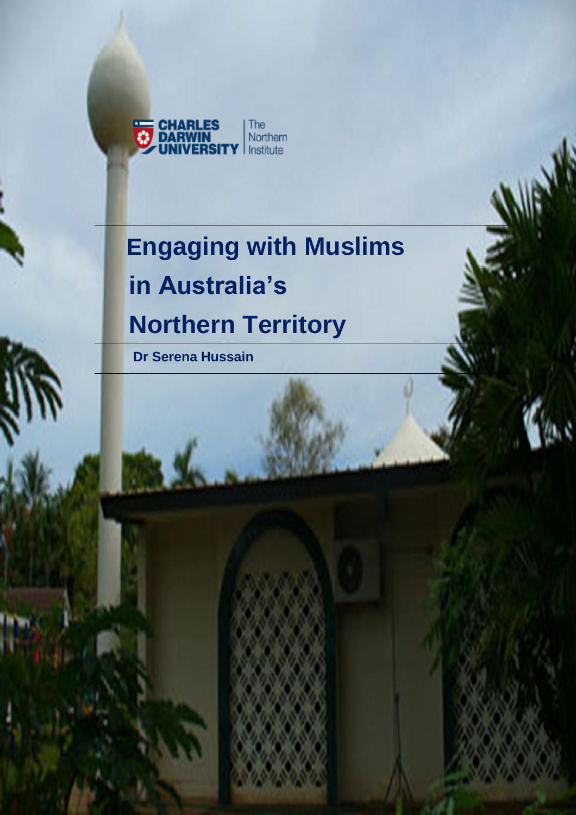

# **Engaging with Muslims in Australia's Northern Territory**

 **Dr Serena Hussain**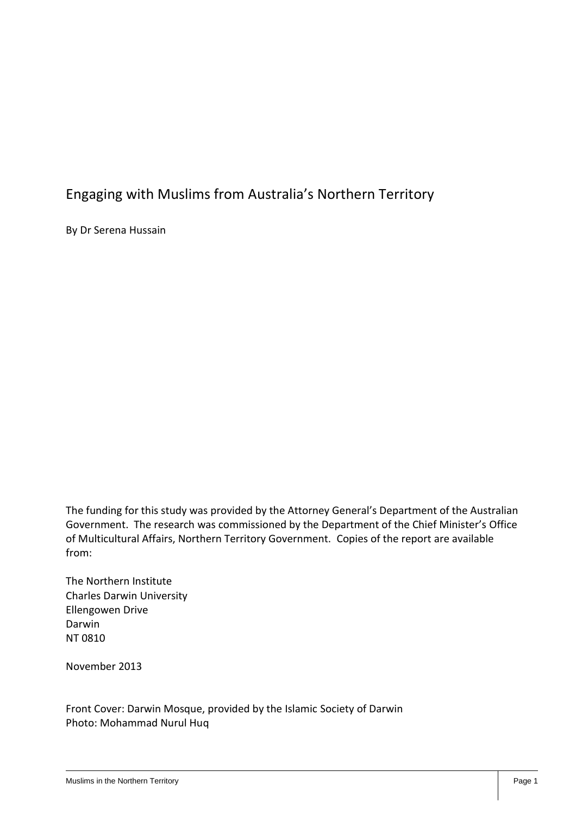#### Engaging with Muslims from Australia's Northern Territory

By Dr Serena Hussain

The funding for this study was provided by the Attorney General's Department of the Australian Government. The research was commissioned by the Department of the Chief Minister's Office of Multicultural Affairs, Northern Territory Government. Copies of the report are available from:

The Northern Institute Charles Darwin University Ellengowen Drive Darwin NT 0810

November 2013

Front Cover: Darwin Mosque, provided by the Islamic Society of Darwin Photo: Mohammad Nurul Huq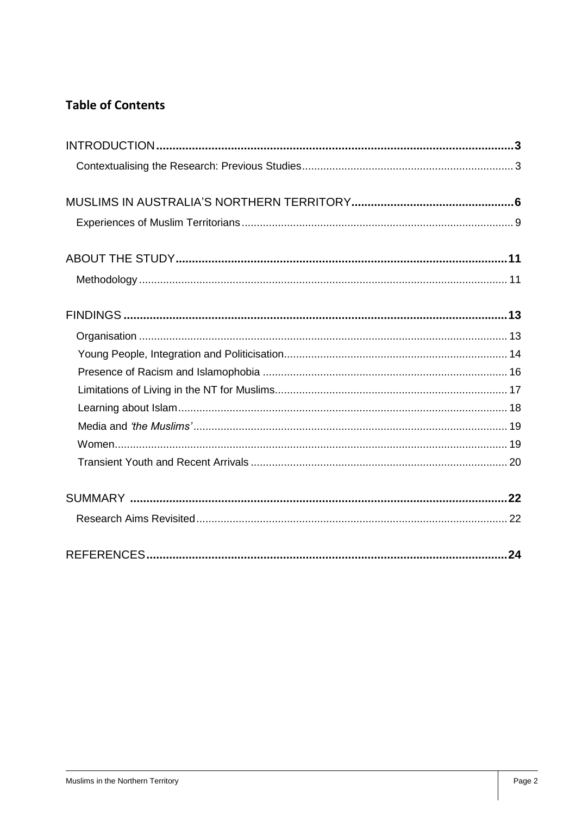#### **Table of Contents**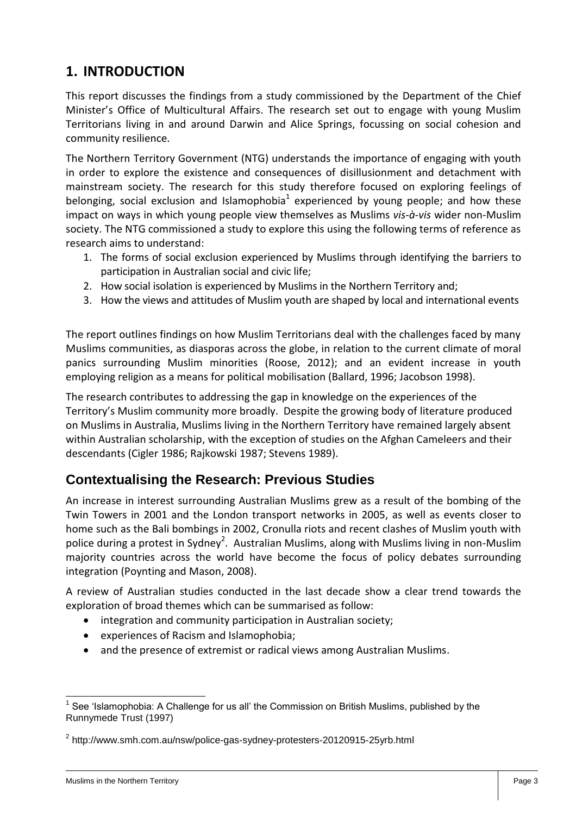## **1. INTRODUCTION**

This report discusses the findings from a study commissioned by the Department of the Chief Minister's Office of Multicultural Affairs. The research set out to engage with young Muslim Territorians living in and around Darwin and Alice Springs, focussing on social cohesion and community resilience.

The Northern Territory Government (NTG) understands the importance of engaging with youth in order to explore the existence and consequences of disillusionment and detachment with mainstream society. The research for this study therefore focused on exploring feelings of belonging, social exclusion and Islamophobia<sup>1</sup> experienced by young people; and how these impact on ways in which young people view themselves as Muslims *vis-à-vis* wider non-Muslim society. The NTG commissioned a study to explore this using the following terms of reference as research aims to understand:

- 1. The forms of social exclusion experienced by Muslims through identifying the barriers to participation in Australian social and civic life;
- 2. How social isolation is experienced by Muslims in the Northern Territory and;
- 3. How the views and attitudes of Muslim youth are shaped by local and international events

The report outlines findings on how Muslim Territorians deal with the challenges faced by many Muslims communities, as diasporas across the globe, in relation to the current climate of moral panics surrounding Muslim minorities (Roose, 2012); and an evident increase in youth employing religion as a means for political mobilisation (Ballard, 1996; Jacobson 1998).

The research contributes to addressing the gap in knowledge on the experiences of the Territory's Muslim community more broadly. Despite the growing body of literature produced on Muslims in Australia, Muslims living in the Northern Territory have remained largely absent within Australian scholarship, with the exception of studies on the Afghan Cameleers and their descendants (Cigler 1986; Rajkowski 1987; Stevens 1989).

#### **Contextualising the Research: Previous Studies**

An increase in interest surrounding Australian Muslims grew as a result of the bombing of the Twin Towers in 2001 and the London transport networks in 2005, as well as events closer to home such as the Bali bombings in 2002, Cronulla riots and recent clashes of Muslim youth with police during a protest in Sydney<sup>2</sup>. Australian Muslims, along with Muslims living in non-Muslim majority countries across the world have become the focus of policy debates surrounding integration (Poynting and Mason, 2008).

A review of Australian studies conducted in the last decade show a clear trend towards the exploration of broad themes which can be summarised as follow:

- integration and community participation in Australian society;
- experiences of Racism and Islamophobia;
- and the presence of extremist or radical views among Australian Muslims.

 $\overline{a}$ 1 See 'Islamophobia: A Challenge for us all' the Commission on British Muslims, published by the Runnymede Trust (1997)

<sup>&</sup>lt;sup>2</sup> http://www.smh.com.au/nsw/police-gas-sydney-protesters-20120915-25yrb.html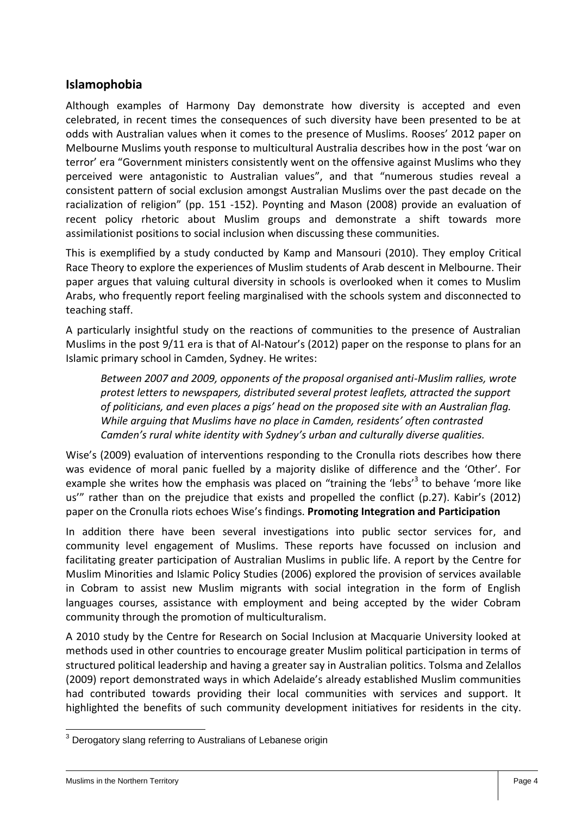#### **Islamophobia**

Although examples of Harmony Day demonstrate how diversity is accepted and even celebrated, in recent times the consequences of such diversity have been presented to be at odds with Australian values when it comes to the presence of Muslims. Rooses' 2012 paper on Melbourne Muslims youth response to multicultural Australia describes how in the post 'war on terror' era "Government ministers consistently went on the offensive against Muslims who they perceived were antagonistic to Australian values", and that "numerous studies reveal a consistent pattern of social exclusion amongst Australian Muslims over the past decade on the racialization of religion" (pp. 151 -152). Poynting and Mason (2008) provide an evaluation of recent policy rhetoric about Muslim groups and demonstrate a shift towards more assimilationist positions to social inclusion when discussing these communities.

This is exemplified by a study conducted by Kamp and Mansouri (2010). They employ Critical Race Theory to explore the experiences of Muslim students of Arab descent in Melbourne. Their paper argues that valuing cultural diversity in schools is overlooked when it comes to Muslim Arabs, who frequently report feeling marginalised with the schools system and disconnected to teaching staff.

A particularly insightful study on the reactions of communities to the presence of Australian Muslims in the post 9/11 era is that of Al-Natour's (2012) paper on the response to plans for an Islamic primary school in Camden, Sydney. He writes:

*Between 2007 and 2009, opponents of the proposal organised anti-Muslim rallies, wrote protest letters to newspapers, distributed several protest leaflets, attracted the support of politicians, and even places a pigs' head on the proposed site with an Australian flag. While arguing that Muslims have no place in Camden, residents' often contrasted Camden's rural white identity with Sydney's urban and culturally diverse qualities.*

Wise's (2009) evaluation of interventions responding to the Cronulla riots describes how there was evidence of moral panic fuelled by a majority dislike of difference and the 'Other'. For example she writes how the emphasis was placed on "training the 'lebs'<sup>3</sup> to behave 'more like us'" rather than on the prejudice that exists and propelled the conflict (p.27). Kabir's (2012) paper on the Cronulla riots echoes Wise's findings. **Promoting Integration and Participation**

In addition there have been several investigations into public sector services for, and community level engagement of Muslims. These reports have focussed on inclusion and facilitating greater participation of Australian Muslims in public life. A report by the Centre for Muslim Minorities and Islamic Policy Studies (2006) explored the provision of services available in Cobram to assist new Muslim migrants with social integration in the form of English languages courses, assistance with employment and being accepted by the wider Cobram community through the promotion of multiculturalism.

A 2010 study by the Centre for Research on Social Inclusion at Macquarie University looked at methods used in other countries to encourage greater Muslim political participation in terms of structured political leadership and having a greater say in Australian politics. Tolsma and Zelallos (2009) report demonstrated ways in which Adelaide's already established Muslim communities had contributed towards providing their local communities with services and support. It highlighted the benefits of such community development initiatives for residents in the city.

  $3$  Derogatory slang referring to Australians of Lebanese origin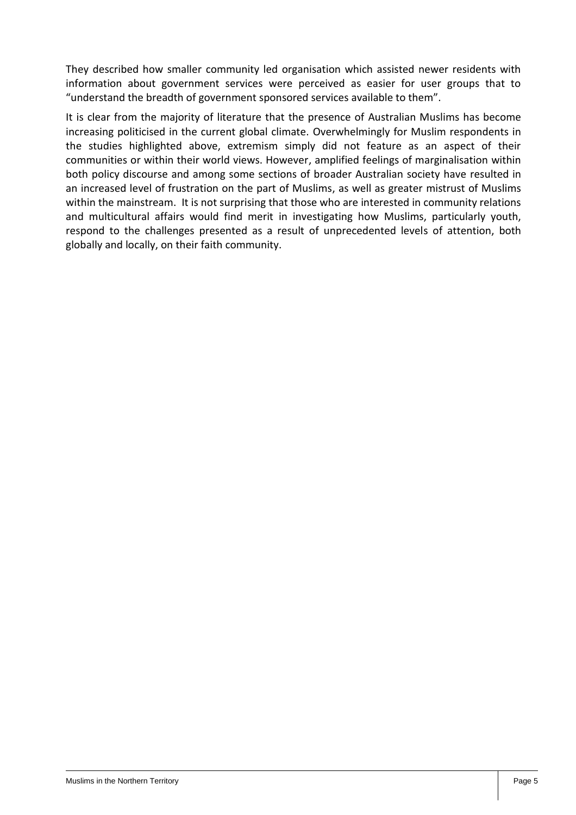They described how smaller community led organisation which assisted newer residents with information about government services were perceived as easier for user groups that to "understand the breadth of government sponsored services available to them".

It is clear from the majority of literature that the presence of Australian Muslims has become increasing politicised in the current global climate. Overwhelmingly for Muslim respondents in the studies highlighted above, extremism simply did not feature as an aspect of their communities or within their world views. However, amplified feelings of marginalisation within both policy discourse and among some sections of broader Australian society have resulted in an increased level of frustration on the part of Muslims, as well as greater mistrust of Muslims within the mainstream. It is not surprising that those who are interested in community relations and multicultural affairs would find merit in investigating how Muslims, particularly youth, respond to the challenges presented as a result of unprecedented levels of attention, both globally and locally, on their faith community.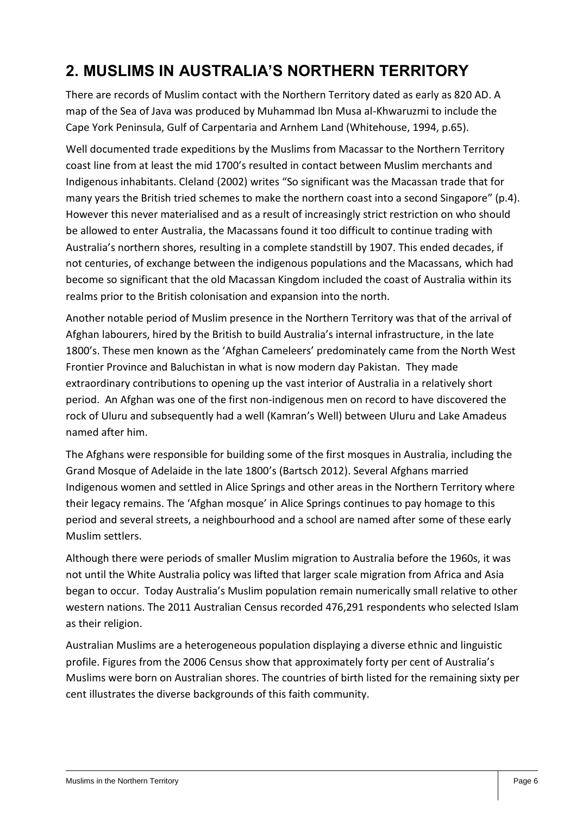# **2. MUSLIMS IN AUSTRALIA'S NORTHERN TERRITORY**

There are records of Muslim contact with the Northern Territory dated as early as 820 AD. A map of the Sea of Java was produced by Muhammad Ibn Musa al-Khwaruzmi to include the Cape York Peninsula, Gulf of Carpentaria and Arnhem Land (Whitehouse, 1994, p.65).

Well documented trade expeditions by the Muslims from Macassar to the Northern Territory coast line from at least the mid 1700's resulted in contact between Muslim merchants and Indigenous inhabitants. Cleland (2002) writes "So significant was the Macassan trade that for many years the British tried schemes to make the northern coast into a second Singapore" (p.4). However this never materialised and as a result of increasingly strict restriction on who should be allowed to enter Australia, the Macassans found it too difficult to continue trading with Australia's northern shores, resulting in a complete standstill by 1907. This ended decades, if not centuries, of exchange between the indigenous populations and the Macassans, which had become so significant that the old Macassan Kingdom included the coast of Australia within its realms prior to the British colonisation and expansion into the north.

Another notable period of Muslim presence in the Northern Territory was that of the arrival of Afghan labourers, hired by the British to build Australia's internal infrastructure, in the late 1800's. These men known as the 'Afghan Cameleers' predominately came from the North West Frontier Province and Baluchistan in what is now modern day Pakistan. They made extraordinary contributions to opening up the vast interior of Australia in a relatively short period. An Afghan was one of the first non-indigenous men on record to have discovered the rock of Uluru and subsequently had a well (Kamran's Well) between Uluru and Lake Amadeus named after him.

The Afghans were responsible for building some of the first mosques in Australia, including the Grand Mosque of Adelaide in the late 1800's (Bartsch 2012). Several Afghans married Indigenous women and settled in Alice Springs and other areas in the Northern Territory where their legacy remains. The 'Afghan mosque' in Alice Springs continues to pay homage to this period and several streets, a neighbourhood and a school are named after some of these early Muslim settlers.

Although there were periods of smaller Muslim migration to Australia before the 1960s, it was not until the White Australia policy was lifted that larger scale migration from Africa and Asia began to occur. Today Australia's Muslim population remain numerically small relative to other western nations. The 2011 Australian Census recorded 476,291 respondents who selected Islam as their religion.

Australian Muslims are a heterogeneous population displaying a diverse ethnic and linguistic profile. Figures from the 2006 Census show that approximately forty per cent of Australia's Muslims were born on Australian shores. The countries of birth listed for the remaining sixty per cent illustrates the diverse backgrounds of this faith community.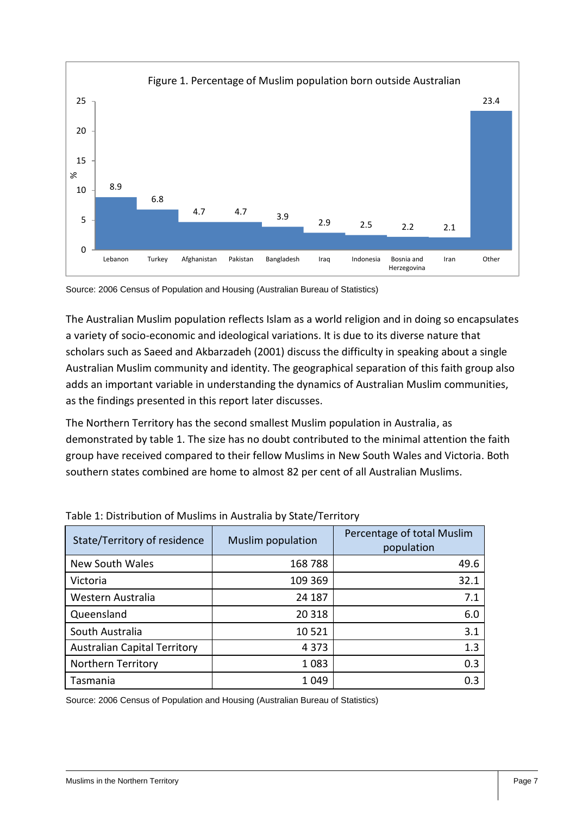

Source: 2006 Census of Population and Housing (Australian Bureau of Statistics)

The Australian Muslim population reflects Islam as a world religion and in doing so encapsulates a variety of socio-economic and ideological variations. It is due to its diverse nature that scholars such as Saeed and Akbarzadeh (2001) discuss the difficulty in speaking about a single Australian Muslim community and identity. The geographical separation of this faith group also adds an important variable in understanding the dynamics of Australian Muslim communities, as the findings presented in this report later discusses.

The Northern Territory has the second smallest Muslim population in Australia, as demonstrated by table 1. The size has no doubt contributed to the minimal attention the faith group have received compared to their fellow Muslims in New South Wales and Victoria. Both southern states combined are home to almost 82 per cent of all Australian Muslims.

| State/Territory of residence        | Muslim population | Percentage of total Muslim<br>population |
|-------------------------------------|-------------------|------------------------------------------|
| New South Wales                     | 168788            | 49.6                                     |
| Victoria                            | 109 369           | 32.1                                     |
| Western Australia                   | 24 187            | 7.1                                      |
| Queensland                          | 20 318            | 6.0                                      |
| South Australia                     | 10 5 21           | 3.1                                      |
| <b>Australian Capital Territory</b> | 4 3 7 3           | 1.3                                      |
| Northern Territory                  | 1 0 8 3           | 0.3                                      |
| Tasmania                            | 1 0 4 9           | 0.3                                      |

Table 1: Distribution of Muslims in Australia by State/Territory

Source: 2006 Census of Population and Housing (Australian Bureau of Statistics)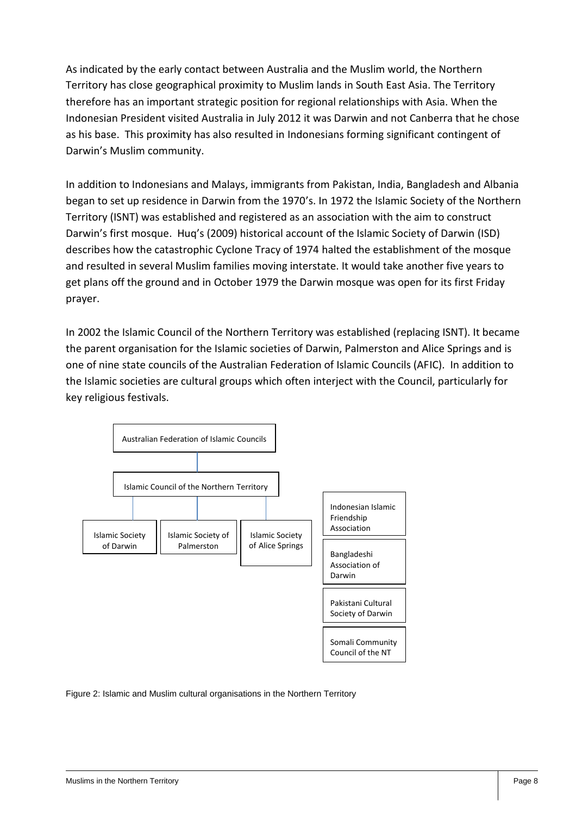As indicated by the early contact between Australia and the Muslim world, the Northern Territory has close geographical proximity to Muslim lands in South East Asia. The Territory therefore has an important strategic position for regional relationships with Asia. When the Indonesian President visited Australia in July 2012 it was Darwin and not Canberra that he chose as his base. This proximity has also resulted in Indonesians forming significant contingent of Darwin's Muslim community.

In addition to Indonesians and Malays, immigrants from Pakistan, India, Bangladesh and Albania began to set up residence in Darwin from the 1970's. In 1972 the Islamic Society of the Northern Territory (ISNT) was established and registered as an association with the aim to construct Darwin's first mosque. Huq's (2009) historical account of the Islamic Society of Darwin (ISD) describes how the catastrophic Cyclone Tracy of 1974 halted the establishment of the mosque and resulted in several Muslim families moving interstate. It would take another five years to get plans off the ground and in October 1979 the Darwin mosque was open for its first Friday prayer.

In 2002 the Islamic Council of the Northern Territory was established (replacing ISNT). It became the parent organisation for the Islamic societies of Darwin, Palmerston and Alice Springs and is one of nine state councils of the Australian Federation of Islamic Councils (AFIC). In addition to the Islamic societies are cultural groups which often interject with the Council, particularly for key religious festivals.



Figure 2: Islamic and Muslim cultural organisations in the Northern Territory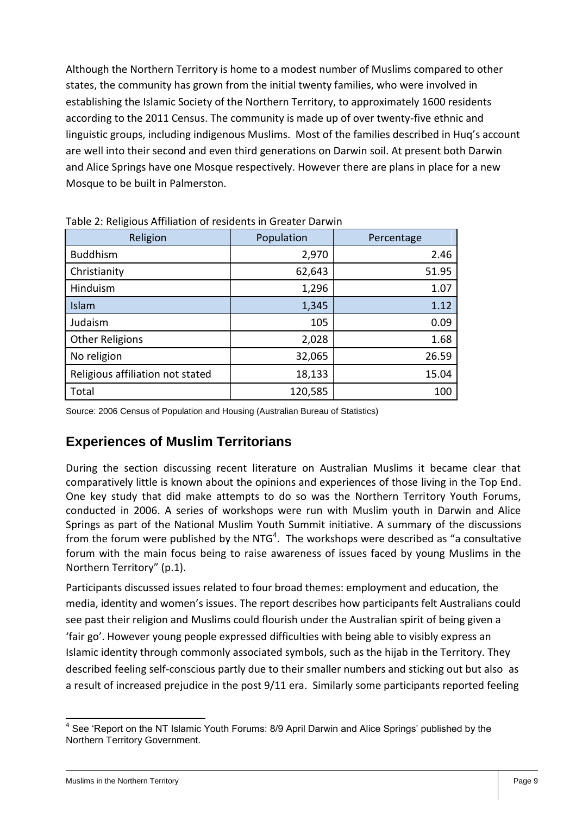Although the Northern Territory is home to a modest number of Muslims compared to other states, the community has grown from the initial twenty families, who were involved in establishing the Islamic Society of the Northern Territory, to approximately 1600 residents according to the 2011 Census. The community is made up of over twenty-five ethnic and linguistic groups, including indigenous Muslims. Most of the families described in Huq's account are well into their second and even third generations on Darwin soil. At present both Darwin and Alice Springs have one Mosque respectively. However there are plans in place for a new Mosque to be built in Palmerston.

| Religion                         | Population | Percentage |
|----------------------------------|------------|------------|
| <b>Buddhism</b>                  | 2,970      | 2.46       |
| Christianity                     | 62,643     | 51.95      |
| Hinduism                         | 1,296      | 1.07       |
| Islam                            | 1,345      | 1.12       |
| Judaism                          | 105        | 0.09       |
| <b>Other Religions</b>           | 2,028      | 1.68       |
| No religion                      | 32,065     | 26.59      |
| Religious affiliation not stated | 18,133     | 15.04      |
| Total                            | 120,585    | 100        |

Table 2: Religious Affiliation of residents in Greater Darwin

Source: 2006 Census of Population and Housing (Australian Bureau of Statistics)

#### **Experiences of Muslim Territorians**

During the section discussing recent literature on Australian Muslims it became clear that comparatively little is known about the opinions and experiences of those living in the Top End. One key study that did make attempts to do so was the Northern Territory Youth Forums, conducted in 2006. A series of workshops were run with Muslim youth in Darwin and Alice Springs as part of the National Muslim Youth Summit initiative. A summary of the discussions from the forum were published by the NTG<sup>4</sup>. The workshops were described as "a consultative forum with the main focus being to raise awareness of issues faced by young Muslims in the Northern Territory" (p.1).

Participants discussed issues related to four broad themes: employment and education, the media, identity and women's issues. The report describes how participants felt Australians could see past their religion and Muslims could flourish under the Australian spirit of being given a 'fair go'. However young people expressed difficulties with being able to visibly express an Islamic identity through commonly associated symbols, such as the hijab in the Territory. They described feeling self-conscious partly due to their smaller numbers and sticking out but also as a result of increased prejudice in the post 9/11 era. Similarly some participants reported feeling

<sup>————————————————————&</sup>lt;br><sup>4</sup> See 'Report on the NT Islamic Youth Forums: 8/9 April Darwin and Alice Springs' published by the Northern Territory Government.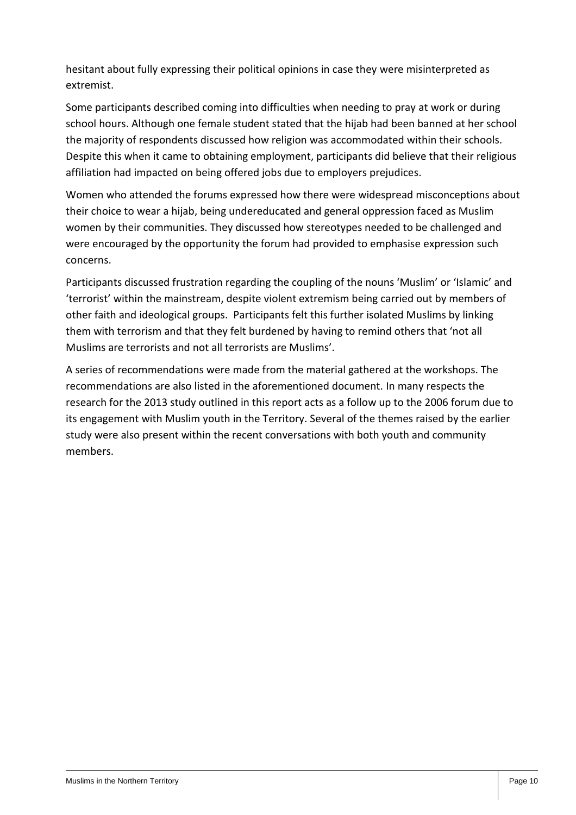hesitant about fully expressing their political opinions in case they were misinterpreted as extremist.

Some participants described coming into difficulties when needing to pray at work or during school hours. Although one female student stated that the hijab had been banned at her school the majority of respondents discussed how religion was accommodated within their schools. Despite this when it came to obtaining employment, participants did believe that their religious affiliation had impacted on being offered jobs due to employers prejudices.

Women who attended the forums expressed how there were widespread misconceptions about their choice to wear a hijab, being undereducated and general oppression faced as Muslim women by their communities. They discussed how stereotypes needed to be challenged and were encouraged by the opportunity the forum had provided to emphasise expression such concerns.

Participants discussed frustration regarding the coupling of the nouns 'Muslim' or 'Islamic' and 'terrorist' within the mainstream, despite violent extremism being carried out by members of other faith and ideological groups. Participants felt this further isolated Muslims by linking them with terrorism and that they felt burdened by having to remind others that 'not all Muslims are terrorists and not all terrorists are Muslims'.

A series of recommendations were made from the material gathered at the workshops. The recommendations are also listed in the aforementioned document. In many respects the research for the 2013 study outlined in this report acts as a follow up to the 2006 forum due to its engagement with Muslim youth in the Territory. Several of the themes raised by the earlier study were also present within the recent conversations with both youth and community members.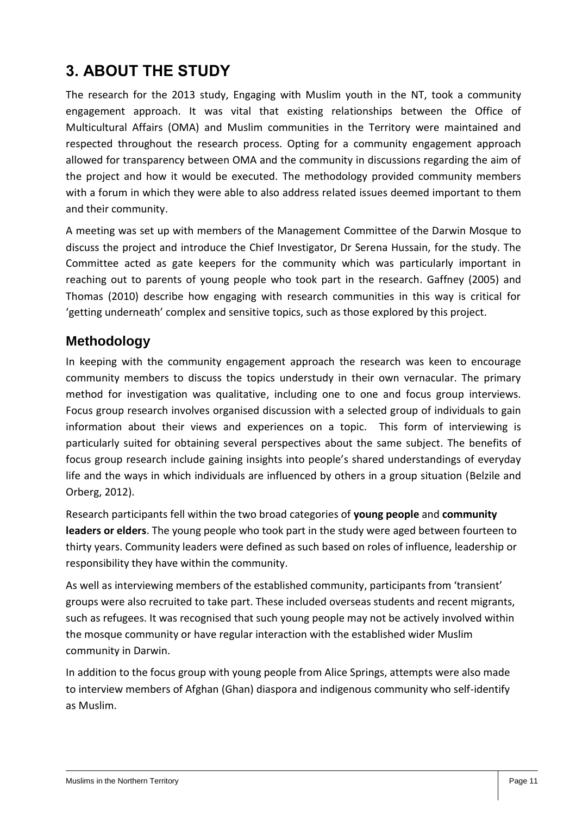## **3. ABOUT THE STUDY**

The research for the 2013 study, Engaging with Muslim youth in the NT, took a community engagement approach. It was vital that existing relationships between the Office of Multicultural Affairs (OMA) and Muslim communities in the Territory were maintained and respected throughout the research process. Opting for a community engagement approach allowed for transparency between OMA and the community in discussions regarding the aim of the project and how it would be executed. The methodology provided community members with a forum in which they were able to also address related issues deemed important to them and their community.

A meeting was set up with members of the Management Committee of the Darwin Mosque to discuss the project and introduce the Chief Investigator, Dr Serena Hussain, for the study. The Committee acted as gate keepers for the community which was particularly important in reaching out to parents of young people who took part in the research. Gaffney (2005) and Thomas (2010) describe how engaging with research communities in this way is critical for 'getting underneath' complex and sensitive topics, such as those explored by this project.

#### **Methodology**

In keeping with the community engagement approach the research was keen to encourage community members to discuss the topics understudy in their own vernacular. The primary method for investigation was qualitative, including one to one and focus group interviews. Focus group research involves organised discussion with a selected group of individuals to gain information about their views and experiences on a topic. This form of interviewing is particularly suited for obtaining several perspectives about the same subject. The benefits of focus group research include gaining insights into people's shared understandings of everyday life and the ways in which individuals are influenced by others in a group situation (Belzile and Orberg, 2012).

Research participants fell within the two broad categories of **young people** and **community leaders or elders**. The young people who took part in the study were aged between fourteen to thirty years. Community leaders were defined as such based on roles of influence, leadership or responsibility they have within the community.

As well as interviewing members of the established community, participants from 'transient' groups were also recruited to take part. These included overseas students and recent migrants, such as refugees. It was recognised that such young people may not be actively involved within the mosque community or have regular interaction with the established wider Muslim community in Darwin.

In addition to the focus group with young people from Alice Springs, attempts were also made to interview members of Afghan (Ghan) diaspora and indigenous community who self-identify as Muslim.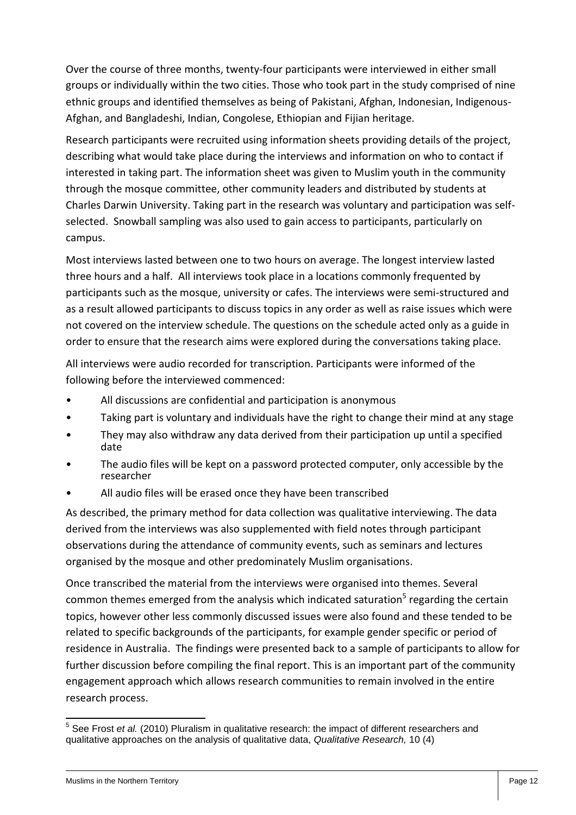Over the course of three months, twenty-four participants were interviewed in either small groups or individually within the two cities. Those who took part in the study comprised of nine ethnic groups and identified themselves as being of Pakistani, Afghan, Indonesian, Indigenous-Afghan, and Bangladeshi, Indian, Congolese, Ethiopian and Fijian heritage.

Research participants were recruited using information sheets providing details of the project, describing what would take place during the interviews and information on who to contact if interested in taking part. The information sheet was given to Muslim youth in the community through the mosque committee, other community leaders and distributed by students at Charles Darwin University. Taking part in the research was voluntary and participation was selfselected. Snowball sampling was also used to gain access to participants, particularly on campus.

Most interviews lasted between one to two hours on average. The longest interview lasted three hours and a half. All interviews took place in a locations commonly frequented by participants such as the mosque, university or cafes. The interviews were semi-structured and as a result allowed participants to discuss topics in any order as well as raise issues which were not covered on the interview schedule. The questions on the schedule acted only as a guide in order to ensure that the research aims were explored during the conversations taking place.

All interviews were audio recorded for transcription. Participants were informed of the following before the interviewed commenced:

- All discussions are confidential and participation is anonymous
- Taking part is voluntary and individuals have the right to change their mind at any stage
- They may also withdraw any data derived from their participation up until a specified date
- The audio files will be kept on a password protected computer, only accessible by the researcher
- All audio files will be erased once they have been transcribed

As described, the primary method for data collection was qualitative interviewing. The data derived from the interviews was also supplemented with field notes through participant observations during the attendance of community events, such as seminars and lectures organised by the mosque and other predominately Muslim organisations.

Once transcribed the material from the interviews were organised into themes. Several common themes emerged from the analysis which indicated saturation<sup>5</sup> regarding the certain topics, however other less commonly discussed issues were also found and these tended to be related to specific backgrounds of the participants, for example gender specific or period of residence in Australia. The findings were presented back to a sample of participants to allow for further discussion before compiling the final report. This is an important part of the community engagement approach which allows research communities to remain involved in the entire research process.

 5 See Frost *et al.* (2010) Pluralism in qualitative research: the impact of different researchers and qualitative approaches on the analysis of qualitative data, *Qualitative Research,* 10 (4)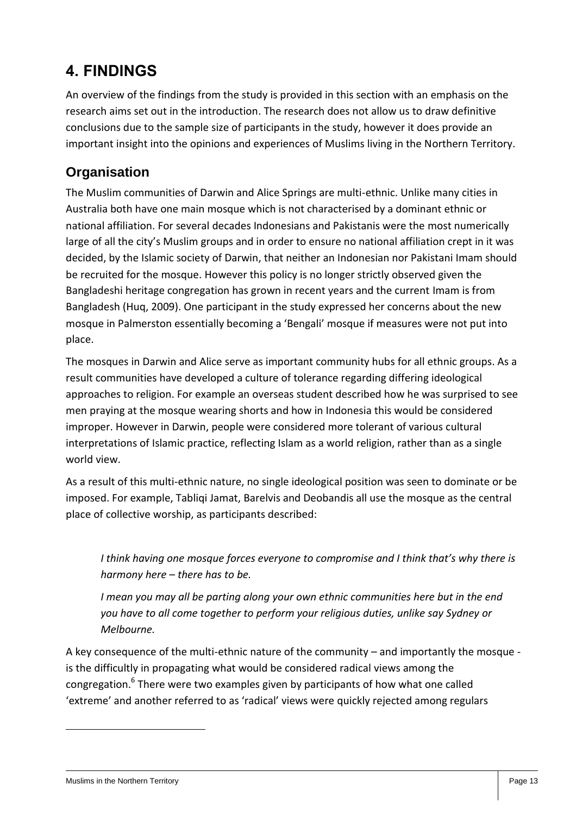## **4. FINDINGS**

An overview of the findings from the study is provided in this section with an emphasis on the research aims set out in the introduction. The research does not allow us to draw definitive conclusions due to the sample size of participants in the study, however it does provide an important insight into the opinions and experiences of Muslims living in the Northern Territory.

#### **Organisation**

The Muslim communities of Darwin and Alice Springs are multi-ethnic. Unlike many cities in Australia both have one main mosque which is not characterised by a dominant ethnic or national affiliation. For several decades Indonesians and Pakistanis were the most numerically large of all the city's Muslim groups and in order to ensure no national affiliation crept in it was decided, by the Islamic society of Darwin, that neither an Indonesian nor Pakistani Imam should be recruited for the mosque. However this policy is no longer strictly observed given the Bangladeshi heritage congregation has grown in recent years and the current Imam is from Bangladesh (Huq, 2009). One participant in the study expressed her concerns about the new mosque in Palmerston essentially becoming a 'Bengali' mosque if measures were not put into place.

The mosques in Darwin and Alice serve as important community hubs for all ethnic groups. As a result communities have developed a culture of tolerance regarding differing ideological approaches to religion. For example an overseas student described how he was surprised to see men praying at the mosque wearing shorts and how in Indonesia this would be considered improper. However in Darwin, people were considered more tolerant of various cultural interpretations of Islamic practice, reflecting Islam as a world religion, rather than as a single world view.

As a result of this multi-ethnic nature, no single ideological position was seen to dominate or be imposed. For example, Tabliqi Jamat, Barelvis and Deobandis all use the mosque as the central place of collective worship, as participants described:

*I think having one mosque forces everyone to compromise and I think that's why there is harmony here – there has to be.* 

*I mean you may all be parting along your own ethnic communities here but in the end you have to all come together to perform your religious duties, unlike say Sydney or Melbourne.*

A key consequence of the multi-ethnic nature of the community – and importantly the mosque is the difficultly in propagating what would be considered radical views among the congregation.<sup>6</sup> There were two examples given by participants of how what one called 'extreme' and another referred to as 'radical' views were quickly rejected among regulars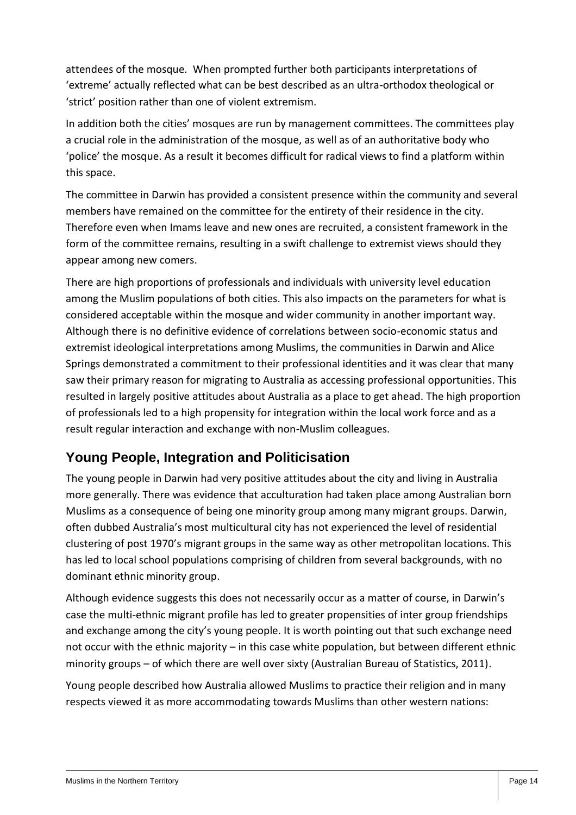attendees of the mosque. When prompted further both participants interpretations of 'extreme' actually reflected what can be best described as an ultra-orthodox theological or 'strict' position rather than one of violent extremism.

In addition both the cities' mosques are run by management committees. The committees play a crucial role in the administration of the mosque, as well as of an authoritative body who 'police' the mosque. As a result it becomes difficult for radical views to find a platform within this space.

The committee in Darwin has provided a consistent presence within the community and several members have remained on the committee for the entirety of their residence in the city. Therefore even when Imams leave and new ones are recruited, a consistent framework in the form of the committee remains, resulting in a swift challenge to extremist views should they appear among new comers.

There are high proportions of professionals and individuals with university level education among the Muslim populations of both cities. This also impacts on the parameters for what is considered acceptable within the mosque and wider community in another important way. Although there is no definitive evidence of correlations between socio-economic status and extremist ideological interpretations among Muslims, the communities in Darwin and Alice Springs demonstrated a commitment to their professional identities and it was clear that many saw their primary reason for migrating to Australia as accessing professional opportunities. This resulted in largely positive attitudes about Australia as a place to get ahead. The high proportion of professionals led to a high propensity for integration within the local work force and as a result regular interaction and exchange with non-Muslim colleagues.

#### **Young People, Integration and Politicisation**

The young people in Darwin had very positive attitudes about the city and living in Australia more generally. There was evidence that acculturation had taken place among Australian born Muslims as a consequence of being one minority group among many migrant groups. Darwin, often dubbed Australia's most multicultural city has not experienced the level of residential clustering of post 1970's migrant groups in the same way as other metropolitan locations. This has led to local school populations comprising of children from several backgrounds, with no dominant ethnic minority group.

Although evidence suggests this does not necessarily occur as a matter of course, in Darwin's case the multi-ethnic migrant profile has led to greater propensities of inter group friendships and exchange among the city's young people. It is worth pointing out that such exchange need not occur with the ethnic majority – in this case white population, but between different ethnic minority groups – of which there are well over sixty (Australian Bureau of Statistics, 2011).

Young people described how Australia allowed Muslims to practice their religion and in many respects viewed it as more accommodating towards Muslims than other western nations: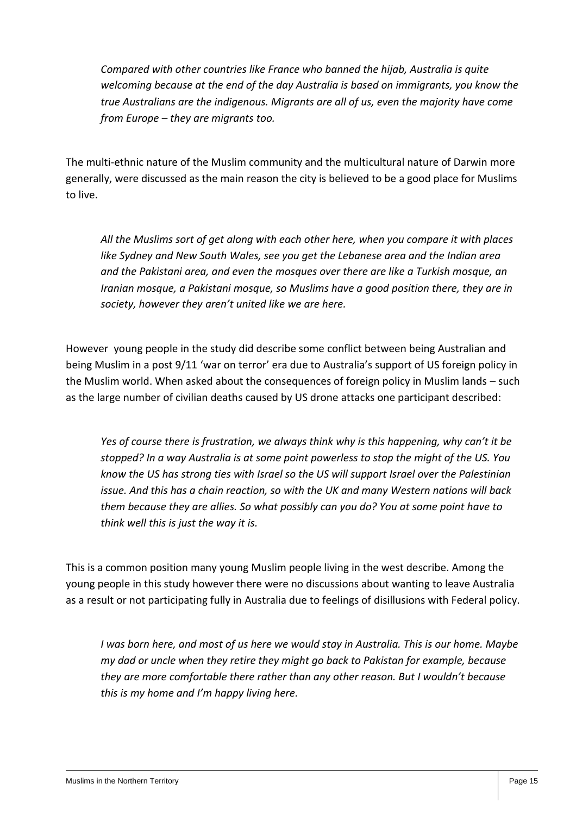*Compared with other countries like France who banned the hijab, Australia is quite welcoming because at the end of the day Australia is based on immigrants, you know the true Australians are the indigenous. Migrants are all of us, even the majority have come from Europe – they are migrants too.*

The multi-ethnic nature of the Muslim community and the multicultural nature of Darwin more generally, were discussed as the main reason the city is believed to be a good place for Muslims to live.

*All the Muslims sort of get along with each other here, when you compare it with places like Sydney and New South Wales, see you get the Lebanese area and the Indian area and the Pakistani area, and even the mosques over there are like a Turkish mosque, an Iranian mosque, a Pakistani mosque, so Muslims have a good position there, they are in society, however they aren't united like we are here.*

However young people in the study did describe some conflict between being Australian and being Muslim in a post 9/11 'war on terror' era due to Australia's support of US foreign policy in the Muslim world. When asked about the consequences of foreign policy in Muslim lands – such as the large number of civilian deaths caused by US drone attacks one participant described:

*Yes of course there is frustration, we always think why is this happening, why can't it be stopped? In a way Australia is at some point powerless to stop the might of the US. You know the US has strong ties with Israel so the US will support Israel over the Palestinian issue. And this has a chain reaction, so with the UK and many Western nations will back them because they are allies. So what possibly can you do? You at some point have to think well this is just the way it is.*

This is a common position many young Muslim people living in the west describe. Among the young people in this study however there were no discussions about wanting to leave Australia as a result or not participating fully in Australia due to feelings of disillusions with Federal policy.

*I was born here, and most of us here we would stay in Australia. This is our home. Maybe my dad or uncle when they retire they might go back to Pakistan for example, because they are more comfortable there rather than any other reason. But I wouldn't because this is my home and I'm happy living here.*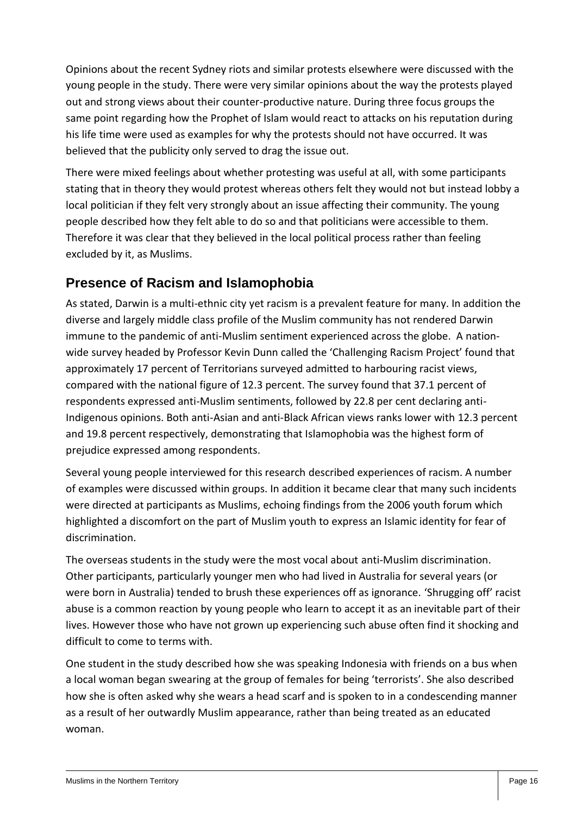Opinions about the recent Sydney riots and similar protests elsewhere were discussed with the young people in the study. There were very similar opinions about the way the protests played out and strong views about their counter-productive nature. During three focus groups the same point regarding how the Prophet of Islam would react to attacks on his reputation during his life time were used as examples for why the protests should not have occurred. It was believed that the publicity only served to drag the issue out.

There were mixed feelings about whether protesting was useful at all, with some participants stating that in theory they would protest whereas others felt they would not but instead lobby a local politician if they felt very strongly about an issue affecting their community. The young people described how they felt able to do so and that politicians were accessible to them. Therefore it was clear that they believed in the local political process rather than feeling excluded by it, as Muslims.

#### **Presence of Racism and Islamophobia**

As stated, Darwin is a multi-ethnic city yet racism is a prevalent feature for many. In addition the diverse and largely middle class profile of the Muslim community has not rendered Darwin immune to the pandemic of anti-Muslim sentiment experienced across the globe. A nationwide survey headed by Professor Kevin Dunn called the 'Challenging Racism Project' found that approximately 17 percent of Territorians surveyed admitted to harbouring racist views, compared with the national figure of 12.3 percent. The survey found that 37.1 percent of respondents expressed anti-Muslim sentiments, followed by 22.8 per cent declaring anti-Indigenous opinions. Both anti-Asian and anti-Black African views ranks lower with 12.3 percent and 19.8 percent respectively, demonstrating that Islamophobia was the highest form of prejudice expressed among respondents.

Several young people interviewed for this research described experiences of racism. A number of examples were discussed within groups. In addition it became clear that many such incidents were directed at participants as Muslims, echoing findings from the 2006 youth forum which highlighted a discomfort on the part of Muslim youth to express an Islamic identity for fear of discrimination.

The overseas students in the study were the most vocal about anti-Muslim discrimination. Other participants, particularly younger men who had lived in Australia for several years (or were born in Australia) tended to brush these experiences off as ignorance. 'Shrugging off' racist abuse is a common reaction by young people who learn to accept it as an inevitable part of their lives. However those who have not grown up experiencing such abuse often find it shocking and difficult to come to terms with.

One student in the study described how she was speaking Indonesia with friends on a bus when a local woman began swearing at the group of females for being 'terrorists'. She also described how she is often asked why she wears a head scarf and is spoken to in a condescending manner as a result of her outwardly Muslim appearance, rather than being treated as an educated woman.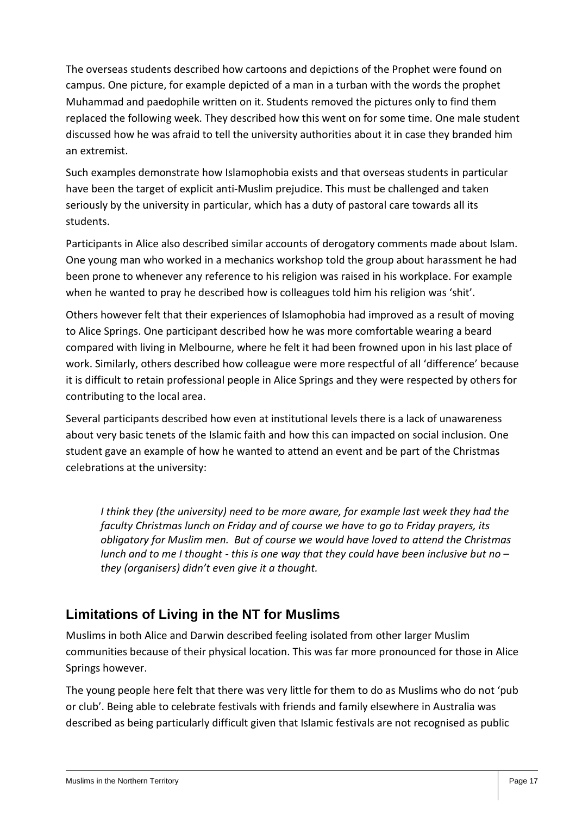The overseas students described how cartoons and depictions of the Prophet were found on campus. One picture, for example depicted of a man in a turban with the words the prophet Muhammad and paedophile written on it. Students removed the pictures only to find them replaced the following week. They described how this went on for some time. One male student discussed how he was afraid to tell the university authorities about it in case they branded him an extremist.

Such examples demonstrate how Islamophobia exists and that overseas students in particular have been the target of explicit anti-Muslim prejudice. This must be challenged and taken seriously by the university in particular, which has a duty of pastoral care towards all its students.

Participants in Alice also described similar accounts of derogatory comments made about Islam. One young man who worked in a mechanics workshop told the group about harassment he had been prone to whenever any reference to his religion was raised in his workplace. For example when he wanted to pray he described how is colleagues told him his religion was 'shit'.

Others however felt that their experiences of Islamophobia had improved as a result of moving to Alice Springs. One participant described how he was more comfortable wearing a beard compared with living in Melbourne, where he felt it had been frowned upon in his last place of work. Similarly, others described how colleague were more respectful of all 'difference' because it is difficult to retain professional people in Alice Springs and they were respected by others for contributing to the local area.

Several participants described how even at institutional levels there is a lack of unawareness about very basic tenets of the Islamic faith and how this can impacted on social inclusion. One student gave an example of how he wanted to attend an event and be part of the Christmas celebrations at the university:

*I think they (the university) need to be more aware, for example last week they had the faculty Christmas lunch on Friday and of course we have to go to Friday prayers, its obligatory for Muslim men. But of course we would have loved to attend the Christmas lunch and to me I thought - this is one way that they could have been inclusive but no – they (organisers) didn't even give it a thought.*

#### **Limitations of Living in the NT for Muslims**

Muslims in both Alice and Darwin described feeling isolated from other larger Muslim communities because of their physical location. This was far more pronounced for those in Alice Springs however.

The young people here felt that there was very little for them to do as Muslims who do not 'pub or club'. Being able to celebrate festivals with friends and family elsewhere in Australia was described as being particularly difficult given that Islamic festivals are not recognised as public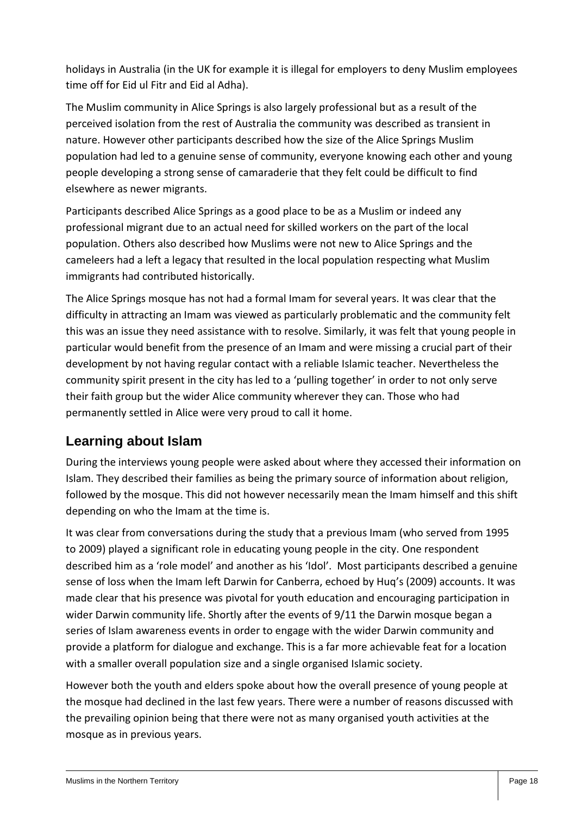holidays in Australia (in the UK for example it is illegal for employers to deny Muslim employees time off for Eid ul Fitr and Eid al Adha).

The Muslim community in Alice Springs is also largely professional but as a result of the perceived isolation from the rest of Australia the community was described as transient in nature. However other participants described how the size of the Alice Springs Muslim population had led to a genuine sense of community, everyone knowing each other and young people developing a strong sense of camaraderie that they felt could be difficult to find elsewhere as newer migrants.

Participants described Alice Springs as a good place to be as a Muslim or indeed any professional migrant due to an actual need for skilled workers on the part of the local population. Others also described how Muslims were not new to Alice Springs and the cameleers had a left a legacy that resulted in the local population respecting what Muslim immigrants had contributed historically.

The Alice Springs mosque has not had a formal Imam for several years. It was clear that the difficulty in attracting an Imam was viewed as particularly problematic and the community felt this was an issue they need assistance with to resolve. Similarly, it was felt that young people in particular would benefit from the presence of an Imam and were missing a crucial part of their development by not having regular contact with a reliable Islamic teacher. Nevertheless the community spirit present in the city has led to a 'pulling together' in order to not only serve their faith group but the wider Alice community wherever they can. Those who had permanently settled in Alice were very proud to call it home.

## **Learning about Islam**

During the interviews young people were asked about where they accessed their information on Islam. They described their families as being the primary source of information about religion, followed by the mosque. This did not however necessarily mean the Imam himself and this shift depending on who the Imam at the time is.

It was clear from conversations during the study that a previous Imam (who served from 1995 to 2009) played a significant role in educating young people in the city. One respondent described him as a 'role model' and another as his 'Idol'. Most participants described a genuine sense of loss when the Imam left Darwin for Canberra, echoed by Huq's (2009) accounts. It was made clear that his presence was pivotal for youth education and encouraging participation in wider Darwin community life. Shortly after the events of 9/11 the Darwin mosque began a series of Islam awareness events in order to engage with the wider Darwin community and provide a platform for dialogue and exchange. This is a far more achievable feat for a location with a smaller overall population size and a single organised Islamic society.

However both the youth and elders spoke about how the overall presence of young people at the mosque had declined in the last few years. There were a number of reasons discussed with the prevailing opinion being that there were not as many organised youth activities at the mosque as in previous years.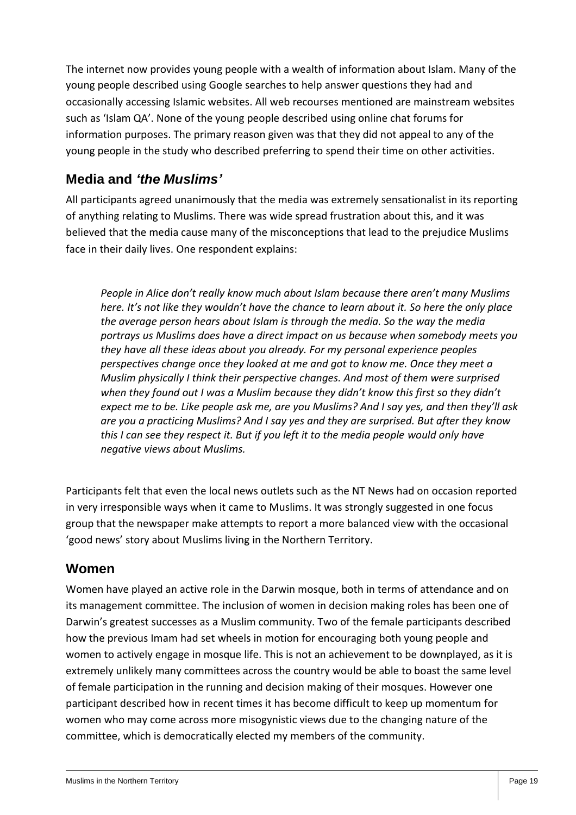The internet now provides young people with a wealth of information about Islam. Many of the young people described using Google searches to help answer questions they had and occasionally accessing Islamic websites. All web recourses mentioned are mainstream websites such as 'Islam QA'. None of the young people described using online chat forums for information purposes. The primary reason given was that they did not appeal to any of the young people in the study who described preferring to spend their time on other activities.

#### **Media and** *'the Muslims'*

All participants agreed unanimously that the media was extremely sensationalist in its reporting of anything relating to Muslims. There was wide spread frustration about this, and it was believed that the media cause many of the misconceptions that lead to the prejudice Muslims face in their daily lives. One respondent explains:

*People in Alice don't really know much about Islam because there aren't many Muslims here. It's not like they wouldn't have the chance to learn about it. So here the only place the average person hears about Islam is through the media. So the way the media portrays us Muslims does have a direct impact on us because when somebody meets you they have all these ideas about you already. For my personal experience peoples perspectives change once they looked at me and got to know me. Once they meet a Muslim physically I think their perspective changes. And most of them were surprised when they found out I was a Muslim because they didn't know this first so they didn't expect me to be. Like people ask me, are you Muslims? And I say yes, and then they'll ask are you a practicing Muslims? And I say yes and they are surprised. But after they know this I can see they respect it. But if you left it to the media people would only have negative views about Muslims.* 

Participants felt that even the local news outlets such as the NT News had on occasion reported in very irresponsible ways when it came to Muslims. It was strongly suggested in one focus group that the newspaper make attempts to report a more balanced view with the occasional 'good news' story about Muslims living in the Northern Territory.

#### **Women**

Women have played an active role in the Darwin mosque, both in terms of attendance and on its management committee. The inclusion of women in decision making roles has been one of Darwin's greatest successes as a Muslim community. Two of the female participants described how the previous Imam had set wheels in motion for encouraging both young people and women to actively engage in mosque life. This is not an achievement to be downplayed, as it is extremely unlikely many committees across the country would be able to boast the same level of female participation in the running and decision making of their mosques. However one participant described how in recent times it has become difficult to keep up momentum for women who may come across more misogynistic views due to the changing nature of the committee, which is democratically elected my members of the community.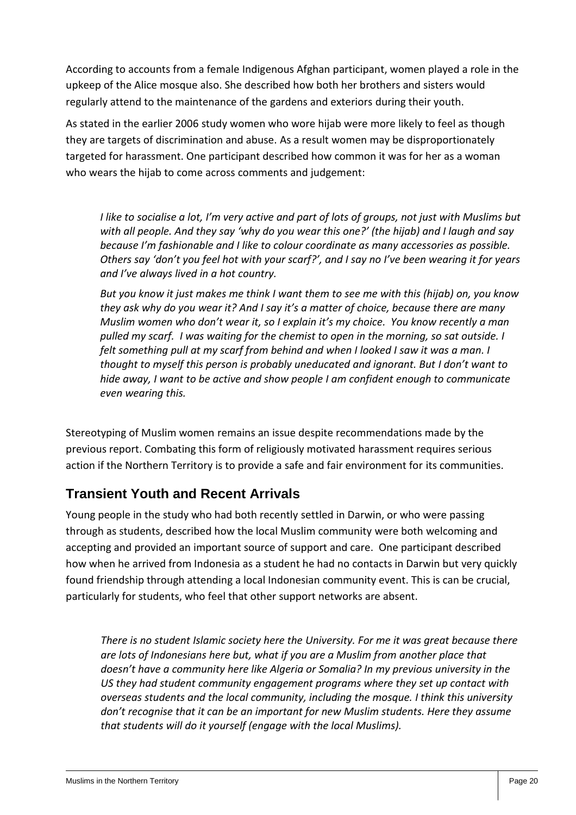According to accounts from a female Indigenous Afghan participant, women played a role in the upkeep of the Alice mosque also. She described how both her brothers and sisters would regularly attend to the maintenance of the gardens and exteriors during their youth.

As stated in the earlier 2006 study women who wore hijab were more likely to feel as though they are targets of discrimination and abuse. As a result women may be disproportionately targeted for harassment. One participant described how common it was for her as a woman who wears the hijab to come across comments and judgement:

*I like to socialise a lot, I'm very active and part of lots of groups, not just with Muslims but with all people. And they say 'why do you wear this one?' (the hijab) and I laugh and say because I'm fashionable and I like to colour coordinate as many accessories as possible. Others say 'don't you feel hot with your scarf?', and I say no I've been wearing it for years and I've always lived in a hot country.* 

*But you know it just makes me think I want them to see me with this (hijab) on, you know they ask why do you wear it? And I say it's a matter of choice, because there are many Muslim women who don't wear it, so I explain it's my choice. You know recently a man pulled my scarf. I was waiting for the chemist to open in the morning, so sat outside. I felt something pull at my scarf from behind and when I looked I saw it was a man. I thought to myself this person is probably uneducated and ignorant. But I don't want to hide away, I want to be active and show people I am confident enough to communicate even wearing this.*

Stereotyping of Muslim women remains an issue despite recommendations made by the previous report. Combating this form of religiously motivated harassment requires serious action if the Northern Territory is to provide a safe and fair environment for its communities.

## **Transient Youth and Recent Arrivals**

Young people in the study who had both recently settled in Darwin, or who were passing through as students, described how the local Muslim community were both welcoming and accepting and provided an important source of support and care. One participant described how when he arrived from Indonesia as a student he had no contacts in Darwin but very quickly found friendship through attending a local Indonesian community event. This is can be crucial, particularly for students, who feel that other support networks are absent.

*There is no student Islamic society here the University. For me it was great because there are lots of Indonesians here but, what if you are a Muslim from another place that doesn't have a community here like Algeria or Somalia? In my previous university in the US they had student community engagement programs where they set up contact with overseas students and the local community, including the mosque. I think this university don't recognise that it can be an important for new Muslim students. Here they assume that students will do it yourself (engage with the local Muslims).*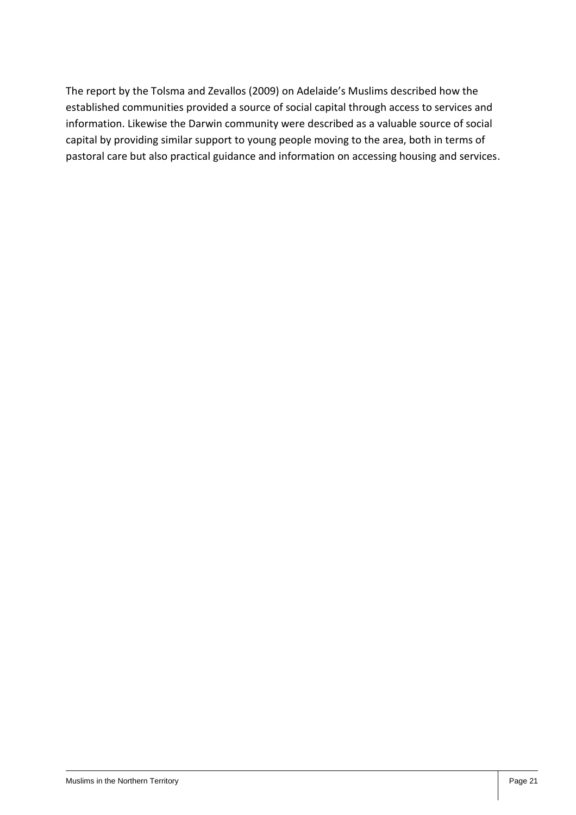The report by the Tolsma and Zevallos (2009) on Adelaide's Muslims described how the established communities provided a source of social capital through access to services and information. Likewise the Darwin community were described as a valuable source of social capital by providing similar support to young people moving to the area, both in terms of pastoral care but also practical guidance and information on accessing housing and services.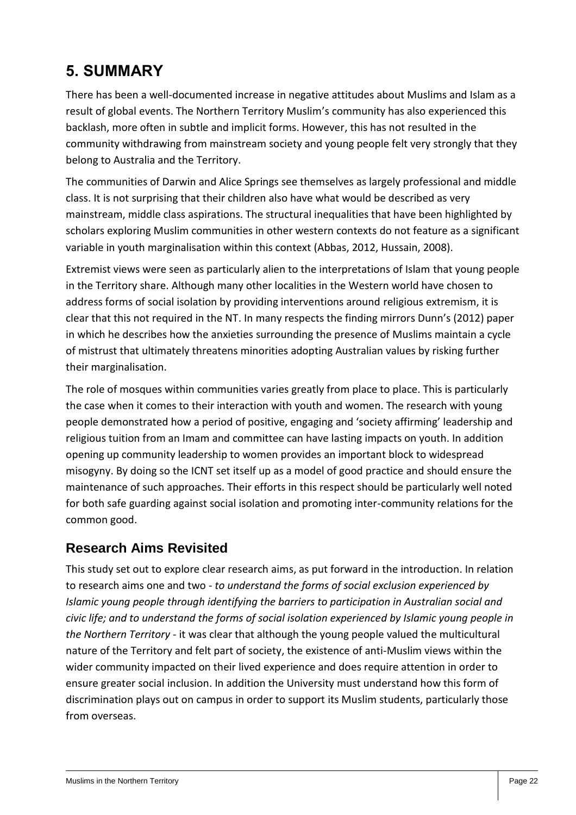# **5. SUMMARY**

There has been a well-documented increase in negative attitudes about Muslims and Islam as a result of global events. The Northern Territory Muslim's community has also experienced this backlash, more often in subtle and implicit forms. However, this has not resulted in the community withdrawing from mainstream society and young people felt very strongly that they belong to Australia and the Territory.

The communities of Darwin and Alice Springs see themselves as largely professional and middle class. It is not surprising that their children also have what would be described as very mainstream, middle class aspirations. The structural inequalities that have been highlighted by scholars exploring Muslim communities in other western contexts do not feature as a significant variable in youth marginalisation within this context (Abbas, 2012, Hussain, 2008).

Extremist views were seen as particularly alien to the interpretations of Islam that young people in the Territory share. Although many other localities in the Western world have chosen to address forms of social isolation by providing interventions around religious extremism, it is clear that this not required in the NT. In many respects the finding mirrors Dunn's (2012) paper in which he describes how the anxieties surrounding the presence of Muslims maintain a cycle of mistrust that ultimately threatens minorities adopting Australian values by risking further their marginalisation.

The role of mosques within communities varies greatly from place to place. This is particularly the case when it comes to their interaction with youth and women. The research with young people demonstrated how a period of positive, engaging and 'society affirming' leadership and religious tuition from an Imam and committee can have lasting impacts on youth. In addition opening up community leadership to women provides an important block to widespread misogyny. By doing so the ICNT set itself up as a model of good practice and should ensure the maintenance of such approaches. Their efforts in this respect should be particularly well noted for both safe guarding against social isolation and promoting inter-community relations for the common good.

#### **Research Aims Revisited**

This study set out to explore clear research aims, as put forward in the introduction. In relation to research aims one and two - *to understand the forms of social exclusion experienced by Islamic young people through identifying the barriers to participation in Australian social and civic life; and to understand the forms of social isolation experienced by Islamic young people in the Northern Territory* - it was clear that although the young people valued the multicultural nature of the Territory and felt part of society, the existence of anti-Muslim views within the wider community impacted on their lived experience and does require attention in order to ensure greater social inclusion. In addition the University must understand how this form of discrimination plays out on campus in order to support its Muslim students, particularly those from overseas.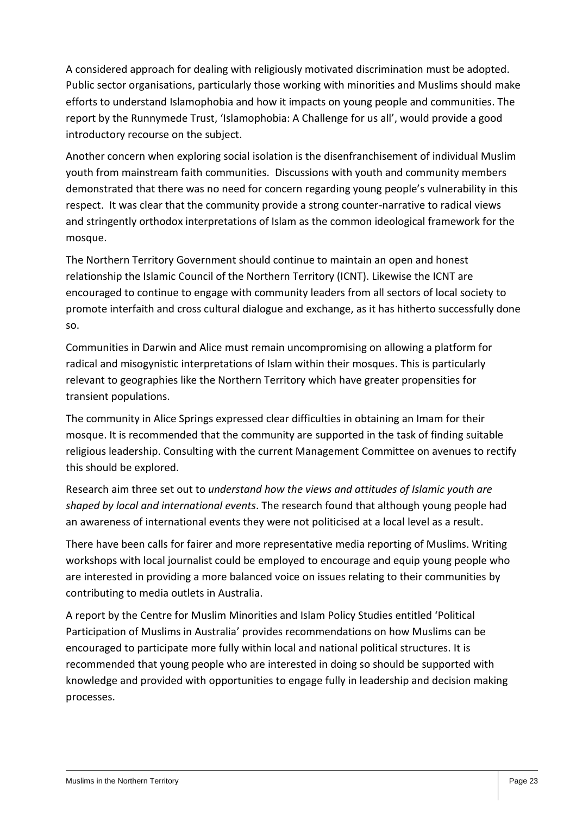A considered approach for dealing with religiously motivated discrimination must be adopted. Public sector organisations, particularly those working with minorities and Muslims should make efforts to understand Islamophobia and how it impacts on young people and communities. The report by the Runnymede Trust, 'Islamophobia: A Challenge for us all', would provide a good introductory recourse on the subject.

Another concern when exploring social isolation is the disenfranchisement of individual Muslim youth from mainstream faith communities. Discussions with youth and community members demonstrated that there was no need for concern regarding young people's vulnerability in this respect. It was clear that the community provide a strong counter-narrative to radical views and stringently orthodox interpretations of Islam as the common ideological framework for the mosque.

The Northern Territory Government should continue to maintain an open and honest relationship the Islamic Council of the Northern Territory (ICNT). Likewise the ICNT are encouraged to continue to engage with community leaders from all sectors of local society to promote interfaith and cross cultural dialogue and exchange, as it has hitherto successfully done so.

Communities in Darwin and Alice must remain uncompromising on allowing a platform for radical and misogynistic interpretations of Islam within their mosques. This is particularly relevant to geographies like the Northern Territory which have greater propensities for transient populations.

The community in Alice Springs expressed clear difficulties in obtaining an Imam for their mosque. It is recommended that the community are supported in the task of finding suitable religious leadership. Consulting with the current Management Committee on avenues to rectify this should be explored.

Research aim three set out to *understand how the views and attitudes of Islamic youth are shaped by local and international events*. The research found that although young people had an awareness of international events they were not politicised at a local level as a result.

There have been calls for fairer and more representative media reporting of Muslims. Writing workshops with local journalist could be employed to encourage and equip young people who are interested in providing a more balanced voice on issues relating to their communities by contributing to media outlets in Australia.

A report by the Centre for Muslim Minorities and Islam Policy Studies entitled 'Political Participation of Muslims in Australia' provides recommendations on how Muslims can be encouraged to participate more fully within local and national political structures. It is recommended that young people who are interested in doing so should be supported with knowledge and provided with opportunities to engage fully in leadership and decision making processes.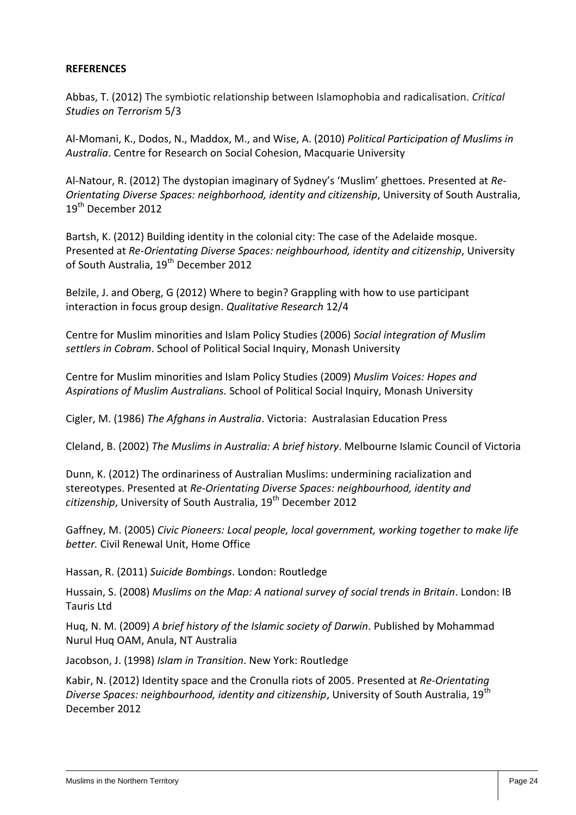#### **REFERENCES**

Abbas, T. (2012) The symbiotic relationship between Islamophobia and radicalisation. *Critical Studies on Terrorism* 5/3

Al-Momani, K., Dodos, N., Maddox, M., and Wise, A. (2010) *Political Participation of Muslims in Australia*. Centre for Research on Social Cohesion, Macquarie University

Al-Natour, R. (2012) The dystopian imaginary of Sydney's 'Muslim' ghettoes. Presented at *Re-Orientating Diverse Spaces: neighborhood, identity and citizenship*, University of South Australia, 19<sup>th</sup> December 2012

Bartsh, K. (2012) Building identity in the colonial city: The case of the Adelaide mosque. Presented at *Re-Orientating Diverse Spaces: neighbourhood, identity and citizenship*, University of South Australia, 19<sup>th</sup> December 2012

Belzile, J. and Oberg, G (2012) Where to begin? Grappling with how to use participant interaction in focus group design. *Qualitative Research* 12/4

Centre for Muslim minorities and Islam Policy Studies (2006) *Social integration of Muslim settlers in Cobram*. School of Political Social Inquiry, Monash University

Centre for Muslim minorities and Islam Policy Studies (2009) *Muslim Voices: Hopes and Aspirations of Muslim Australians.* School of Political Social Inquiry, Monash University

Cigler, M. (1986) *The Afghans in Australia*. Victoria: Australasian Education Press

Cleland, B. (2002) *The Muslims in Australia: A brief history*. Melbourne Islamic Council of Victoria

Dunn, K. (2012) The ordinariness of Australian Muslims: undermining racialization and stereotypes. Presented at *Re-Orientating Diverse Spaces: neighbourhood, identity and citizenship*, University of South Australia, 19th December 2012

Gaffney, M. (2005) *Civic Pioneers: Local people, local government, working together to make life better.* Civil Renewal Unit, Home Office

Hassan, R. (2011) *Suicide Bombings*. London: Routledge

Hussain, S. (2008) *Muslims on the Map: A national survey of social trends in Britain*. London: IB Tauris Ltd

Huq, N. M. (2009) *A brief history of the Islamic society of Darwin*. Published by Mohammad Nurul Huq OAM, Anula, NT Australia

Jacobson, J. (1998) *Islam in Transition*. New York: Routledge

Kabir, N. (2012) Identity space and the Cronulla riots of 2005. Presented at *Re-Orientating Diverse Spaces: neighbourhood, identity and citizenship, University of South Australia, 19<sup>th</sup>* December 2012